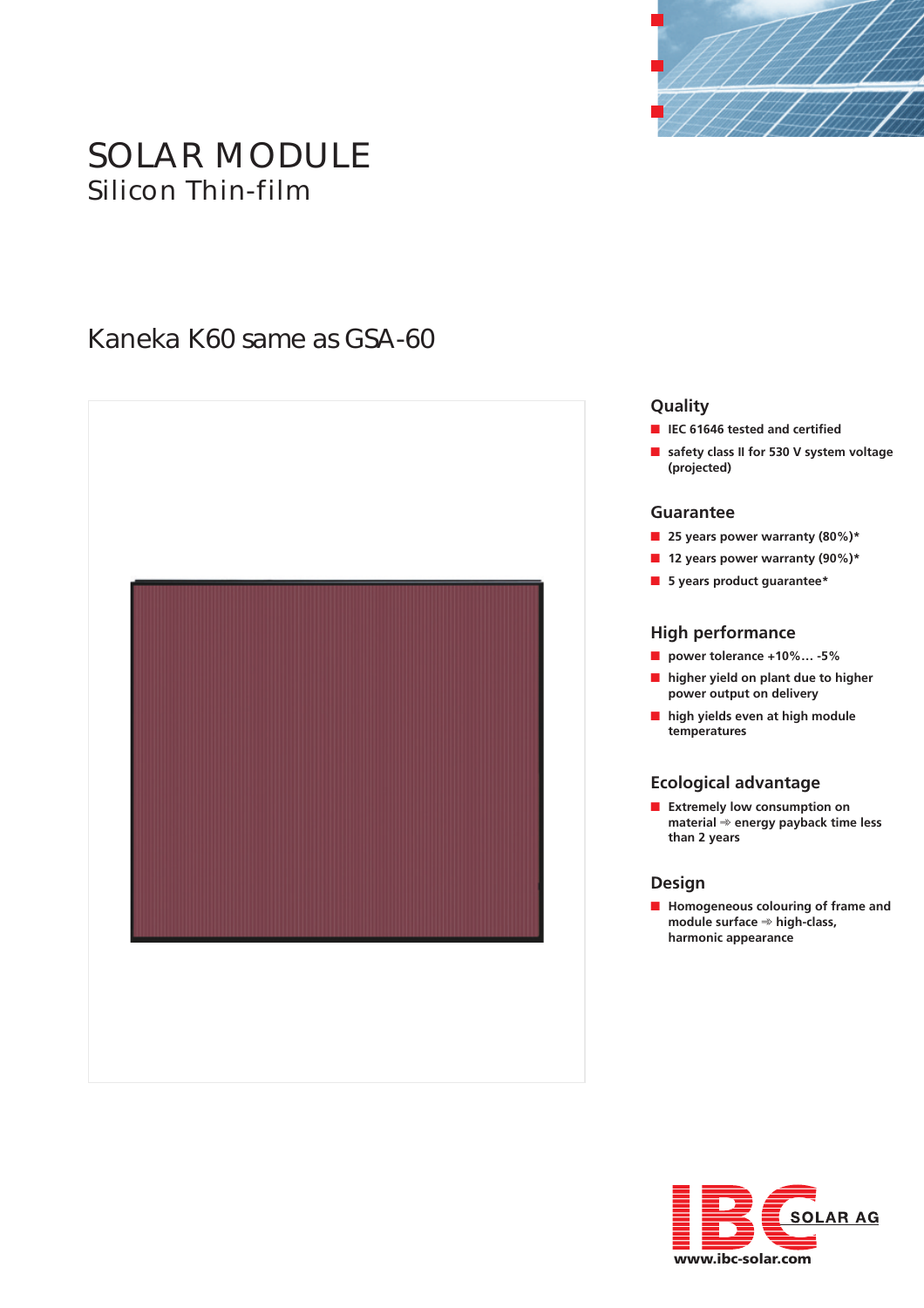

# SOLAR MODULE Silicon Thin-film

# Kaneka K60 same as GSA-60



#### **Quality**

- **IEC 61646 tested and certified**
- safety class II for 530 V system voltage **(projected)**

#### **Guarantee**

- **25 years power warranty (80%)**\*
- **12 years power warranty (90%)**\*
- **5 years product guarantee\***

#### **High performance**

- **power tolerance +10%… -5%**
- **higher yield on plant due to higher power output on delivery**
- **high yields even at high module temperatures**

#### **Ecological advantage**

■ **Extremely low consumption on material** ➾ **energy payback time less than 2 years**

#### **Design**

■ **Homogeneous colouring of frame and module surface** ➾ **high-class, harmonic appearance**